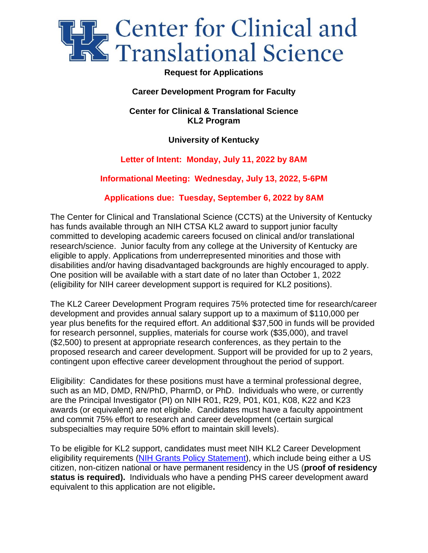

## **Request for Applications**

# **Career Development Program for Faculty**

**Center for Clinical & Translational Science KL2 Program**

## **University of Kentucky**

## **Letter of Intent: Monday, July 11, 2022 by 8AM**

## **Informational Meeting: Wednesday, July 13, 2022, 5-6PM**

## **Applications due: Tuesday, September 6, 2022 by 8AM**

The Center for Clinical and Translational Science (CCTS) at the University of Kentucky has funds available through an NIH CTSA KL2 award to support junior faculty committed to developing academic careers focused on clinical and/or translational research/science. Junior faculty from any college at the University of Kentucky are eligible to apply. Applications from underrepresented minorities and those with disabilities and/or having disadvantaged backgrounds are highly encouraged to apply. One position will be available with a start date of no later than October 1, 2022 (eligibility for NIH career development support is required for KL2 positions).

The KL2 Career Development Program requires 75% protected time for research/career development and provides annual salary support up to a maximum of \$110,000 per year plus benefits for the required effort. An additional \$37,500 in funds will be provided for research personnel, supplies, materials for course work (\$35,000), and travel (\$2,500) to present at appropriate research conferences, as they pertain to the proposed research and career development. Support will be provided for up to 2 years, contingent upon effective career development throughout the period of support.

Eligibility: Candidates for these positions must have a terminal professional degree, such as an MD, DMD, RN/PhD, PharmD, or PhD. Individuals who were, or currently are the Principal Investigator (PI) on NIH R01, R29, P01, K01, K08, K22 and K23 awards (or equivalent) are not eligible. Candidates must have a faculty appointment and commit 75% effort to research and career development (certain surgical subspecialties may require 50% effort to maintain skill levels).

To be eligible for KL2 support, candidates must meet NIH KL2 Career Development eligibility requirements [\(NIH Grants Policy Statement\)](https://grants.nih.gov/grants/guide/url_redirect.htm?id=61135), which include being either a US citizen, non-citizen national or have permanent residency in the US (**proof of residency status is required).** Individuals who have a pending PHS career development award equivalent to this application are not eligible**.**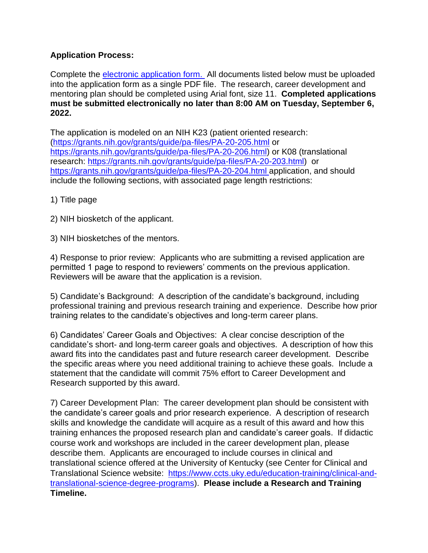# **Application Process:**

Complete the [electronic application form.](https://redcap.uky.edu/redcap/surveys/?s=4FALPDMDPN7TPJEN) All documents listed below must be uploaded into the application form as a single PDF file. The research, career development and mentoring plan should be completed using Arial font, size 11. **Completed applications must be submitted electronically no later than 8:00 AM on Tuesday, September 6, 2022.**

The application is modeled on an NIH K23 (patient oriented research: [\(https://grants.nih.gov/grants/guide/pa-files/PA-20-205.html](https://grants.nih.gov/grants/guide/pa-files/PA-20-205.html) or [https://grants.nih.gov/grants/guide/pa-files/PA-20-206.html\)](https://grants.nih.gov/grants/guide/pa-files/PA-20-206.html) or K08 (translational research: [https://grants.nih.gov/grants/guide/pa-files/PA-20-203.html\)](https://grants.nih.gov/grants/guide/pa-files/PA-20-203.html) or <https://grants.nih.gov/grants/guide/pa-files/PA-20-204.html> application, and should include the following sections, with associated page length restrictions:

1) Title page

2) NIH biosketch of the applicant.

3) NIH biosketches of the mentors.

4) Response to prior review:Applicants who are submitting a revised application are permitted 1 page to respond to reviewers' comments on the previous application. Reviewers will be aware that the application is a revision.

5) Candidate's Background: A description of the candidate's background, including professional training and previous research training and experience. Describe how prior training relates to the candidate's objectives and long-term career plans.

6) Candidates' Career Goals and Objectives: A clear concise description of the candidate's short- and long-term career goals and objectives. A description of how this award fits into the candidates past and future research career development. Describe the specific areas where you need additional training to achieve these goals. Include a statement that the candidate will commit 75% effort to Career Development and Research supported by this award.

7) Career Development Plan: The career development plan should be consistent with the candidate's career goals and prior research experience. A description of research skills and knowledge the candidate will acquire as a result of this award and how this training enhances the proposed research plan and candidate's career goals. If didactic course work and workshops are included in the career development plan, please describe them. Applicants are encouraged to include courses in clinical and translational science offered at the University of Kentucky (see Center for Clinical and Translational Science website: [https://www.ccts.uky.edu/education-training/clinical-and](https://www.ccts.uky.edu/education-training/clinical-and-translational-science-degree-programs)[translational-science-degree-programs\)](https://www.ccts.uky.edu/education-training/clinical-and-translational-science-degree-programs). **Please include a Research and Training Timeline.**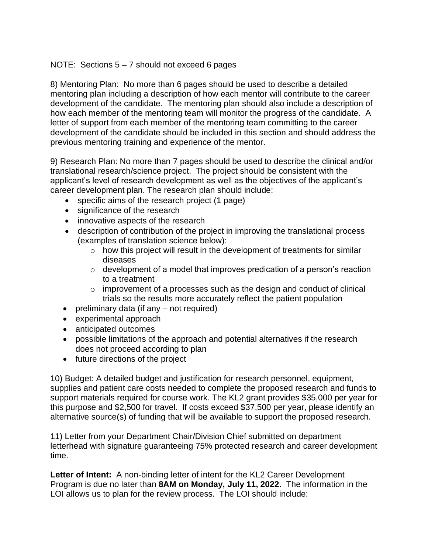## NOTE: Sections 5 – 7 should not exceed 6 pages

8) Mentoring Plan: No more than 6 pages should be used to describe a detailed mentoring plan including a description of how each mentor will contribute to the career development of the candidate. The mentoring plan should also include a description of how each member of the mentoring team will monitor the progress of the candidate. A letter of support from each member of the mentoring team committing to the career development of the candidate should be included in this section and should address the previous mentoring training and experience of the mentor.

9) Research Plan: No more than 7 pages should be used to describe the clinical and/or translational research/science project. The project should be consistent with the applicant's level of research development as well as the objectives of the applicant's career development plan. The research plan should include:

- specific aims of the research project (1 page)
- significance of the research
- innovative aspects of the research
- description of contribution of the project in improving the translational process (examples of translation science below):
	- o how this project will result in the development of treatments for similar diseases
	- o development of a model that improves predication of a person's reaction to a treatment
	- $\circ$  improvement of a processes such as the design and conduct of clinical trials so the results more accurately reflect the patient population
- preliminary data (if any not required)
- experimental approach
- anticipated outcomes
- possible limitations of the approach and potential alternatives if the research does not proceed according to plan
- future directions of the project

10) Budget: A detailed budget and justification for research personnel, equipment, supplies and patient care costs needed to complete the proposed research and funds to support materials required for course work. The KL2 grant provides \$35,000 per year for this purpose and \$2,500 for travel. If costs exceed \$37,500 per year, please identify an alternative source(s) of funding that will be available to support the proposed research.

11) Letter from your Department Chair/Division Chief submitted on department letterhead with signature guaranteeing 75% protected research and career development time.

**Letter of Intent:** A non-binding letter of intent for the KL2 Career Development Program is due no later than **8AM on Monday, July 11, 2022**. The information in the LOI allows us to plan for the review process. The LOI should include: